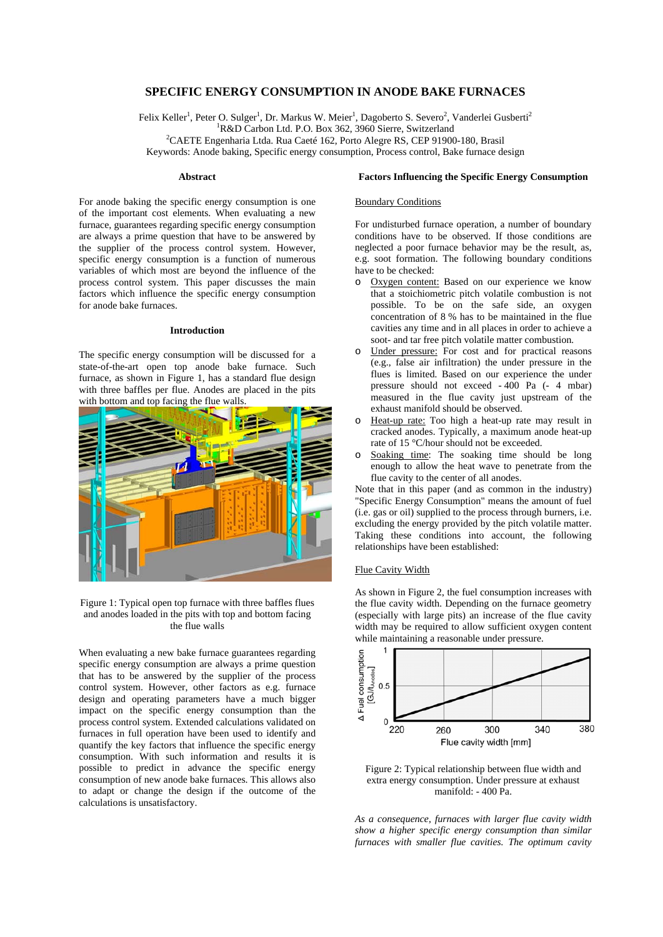## **SPECIFIC ENERGY CONSUMPTION IN ANODE BAKE FURNACES**

Felix Keller<sup>1</sup>, Peter O. Sulger<sup>1</sup>, Dr. Markus W. Meier<sup>1</sup>, Dagoberto S. Severo<sup>2</sup>, Vanderlei Gusberti<sup>2</sup> <sup>1</sup>R&D Carbon Ltd. P.O. Box 362, 3960 Sierre, Switzerland<br><sup>2</sup>CAETE Encapheria Ltde. Bus Castá 162, Borto Alegre BS, CEB 01000 CAETE Engenharia Ltda. Rua Caeté 162, Porto Alegre RS, CEP 91900-180, Brasil

Keywords: Anode baking, Specific energy consumption, Process control, Bake furnace design

#### **Abstract**

## **Factors Influencing the Specific Energy Consumption**

# Boundary Conditions

For undisturbed furnace operation, a number of boundary conditions have to be observed. If those conditions are neglected a poor furnace behavior may be the result, as, e.g. soot formation. The following boundary conditions have to be checked:

- o Oxygen content: Based on our experience we know that a stoichiometric pitch volatile combustion is not possible. To be on the safe side, an oxygen concentration of 8 % has to be maintained in the flue cavities any time and in all places in order to achieve a soot- and tar free pitch volatile matter combustion.
- o Under pressure: For cost and for practical reasons (e.g., false air infiltration) the under pressure in the flues is limited. Based on our experience the under pressure should not exceed - 400 Pa (- 4 mbar) measured in the flue cavity just upstream of the exhaust manifold should be observed.
- o Heat-up rate: Too high a heat-up rate may result in cracked anodes. Typically, a maximum anode heat-up rate of 15 °C/hour should not be exceeded.
- o Soaking time: The soaking time should be long enough to allow the heat wave to penetrate from the flue cavity to the center of all anodes.

Note that in this paper (and as common in the industry) "Specific Energy Consumption" means the amount of fuel (i.e. gas or oil) supplied to the process through burners, i.e. excluding the energy provided by the pitch volatile matter. Taking these conditions into account, the following relationships have been established:

## Flue Cavity Width

As shown in Figure 2, the fuel consumption increases with the flue cavity width. Depending on the furnace geometry (especially with large pits) an increase of the flue cavity width may be required to allow sufficient oxygen content while maintaining a reasonable under pressure.



Figure 2: Typical relationship between flue width and extra energy consumption. Under pressure at exhaust manifold: - 400 Pa.

*As a consequence, furnaces with larger flue cavity width show a higher specific energy consumption than similar furnaces with smaller flue cavities. The optimum cavity* 

For anode baking the specific energy consumption is one of the important cost elements. When evaluating a new furnace, guarantees regarding specific energy consumption are always a prime question that have to be answered by the supplier of the process control system. However, specific energy consumption is a function of numerous variables of which most are beyond the influence of the process control system. This paper discusses the main factors which influence the specific energy consumption for anode bake furnaces.

#### **Introduction**

The specific energy consumption will be discussed for a state-of-the-art open top anode bake furnace. Such furnace, as shown in Figure 1, has a standard flue design with three baffles per flue. Anodes are placed in the pits with bottom and top facing the flue walls.



Figure 1: Typical open top furnace with three baffles flues and anodes loaded in the pits with top and bottom facing the flue walls

When evaluating a new bake furnace guarantees regarding specific energy consumption are always a prime question that has to be answered by the supplier of the process control system. However, other factors as e.g. furnace design and operating parameters have a much bigger impact on the specific energy consumption than the process control system. Extended calculations validated on furnaces in full operation have been used to identify and quantify the key factors that influence the specific energy consumption. With such information and results it is possible to predict in advance the specific energy consumption of new anode bake furnaces. This allows also to adapt or change the design if the outcome of the calculations is unsatisfactory.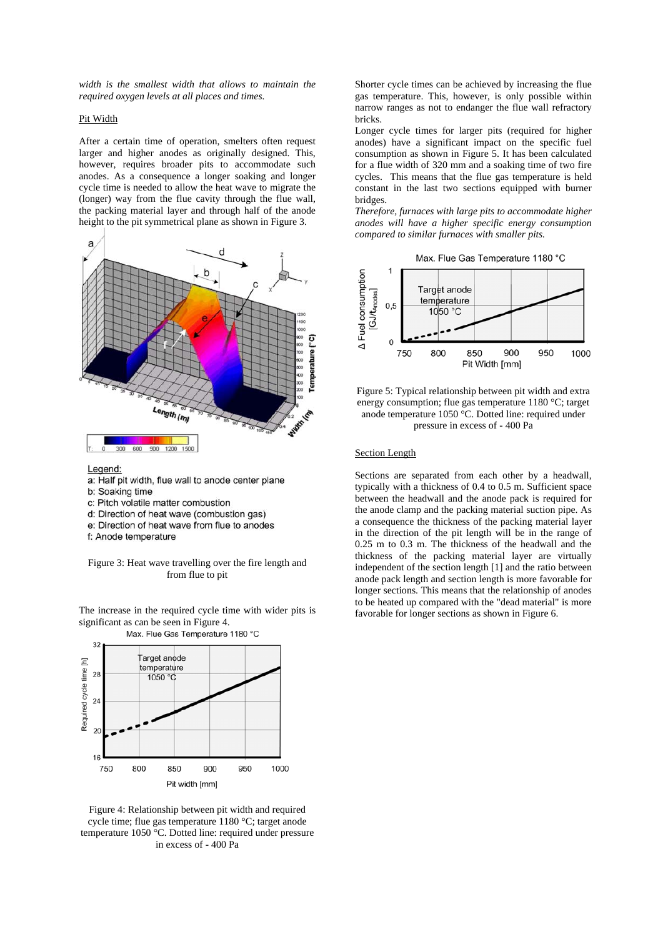*width is the smallest width that allows to maintain the required oxygen levels at all places and times.* 

## Pit Width

After a certain time of operation, smelters often request larger and higher anodes as originally designed. This, however, requires broader pits to accommodate such anodes. As a consequence a longer soaking and longer cycle time is needed to allow the heat wave to migrate the (longer) way from the flue cavity through the flue wall, the packing material layer and through half of the anode height to the pit symmetrical plane as shown in Figure 3.



Legend:

- a: Half pit width, flue wall to anode center plane
- b: Soaking time
- c: Pitch volatile matter combustion
- d: Direction of heat wave (combustion gas)
- e: Direction of heat wave from flue to anodes
- f: Anode temperature

Figure 3: Heat wave travelling over the fire length and from flue to pit

The increase in the required cycle time with wider pits is significant as can be seen in Figure 4.



Figure 4: Relationship between pit width and required cycle time; flue gas temperature 1180 °C; target anode temperature 1050 °C. Dotted line: required under pressure in excess of - 400 Pa

Shorter cycle times can be achieved by increasing the flue gas temperature. This, however, is only possible within narrow ranges as not to endanger the flue wall refractory bricks.

Longer cycle times for larger pits (required for higher anodes) have a significant impact on the specific fuel consumption as shown in Figure 5. It has been calculated for a flue width of 320 mm and a soaking time of two fire cycles. This means that the flue gas temperature is held constant in the last two sections equipped with burner bridges.

*Therefore, furnaces with large pits to accommodate higher anodes will have a higher specific energy consumption compared to similar furnaces with smaller pits.* 





Figure 5: Typical relationship between pit width and extra energy consumption; flue gas temperature 1180 °C; target anode temperature 1050 °C. Dotted line: required under pressure in excess of - 400 Pa

### Section Length

Sections are separated from each other by a headwall, typically with a thickness of 0.4 to 0.5 m. Sufficient space between the headwall and the anode pack is required for the anode clamp and the packing material suction pipe. As a consequence the thickness of the packing material layer in the direction of the pit length will be in the range of 0.25 m to 0.3 m. The thickness of the headwall and the thickness of the packing material layer are virtually independent of the section length [1] and the ratio between anode pack length and section length is more favorable for longer sections. This means that the relationship of anodes to be heated up compared with the "dead material" is more favorable for longer sections as shown in Figure 6.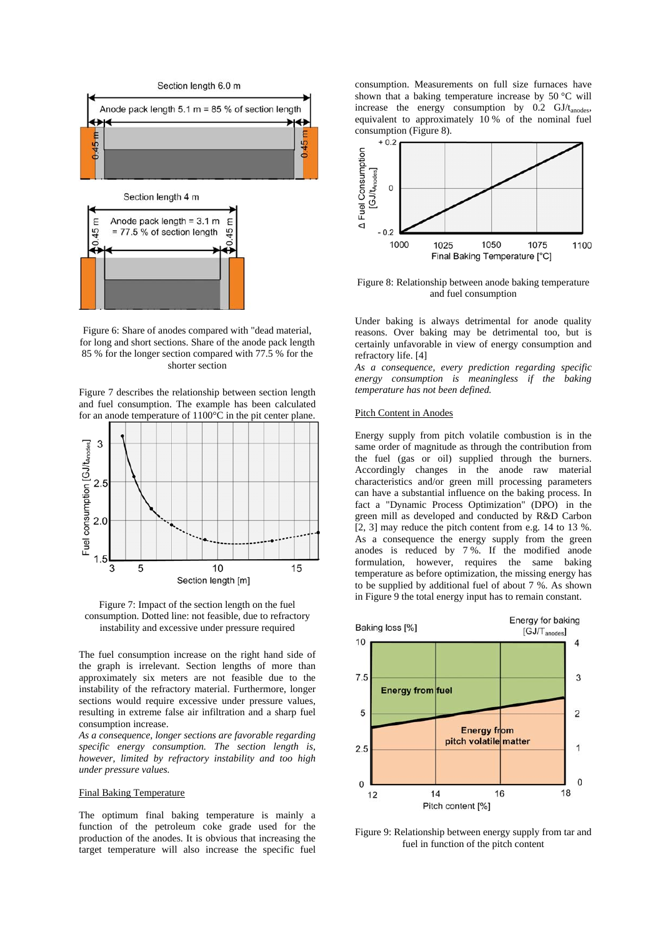

Figure 6: Share of anodes compared with "dead material, for long and short sections. Share of the anode pack length 85 % for the longer section compared with 77.5 % for the shorter section

Figure 7 describes the relationship between section length and fuel consumption. The example has been calculated for an anode temperature of 1100°C in the pit center plane.





The fuel consumption increase on the right hand side of the graph is irrelevant. Section lengths of more than approximately six meters are not feasible due to the instability of the refractory material. Furthermore, longer sections would require excessive under pressure values, resulting in extreme false air infiltration and a sharp fuel consumption increase.

*As a consequence, longer sections are favorable regarding specific energy consumption. The section length is, however, limited by refractory instability and too high under pressure values.* 

#### Final Baking Temperature

The optimum final baking temperature is mainly a function of the petroleum coke grade used for the production of the anodes. It is obvious that increasing the target temperature will also increase the specific fuel consumption. Measurements on full size furnaces have shown that a baking temperature increase by 50 °C will increase the energy consumption by  $0.2 \text{ GJ/t}_{\text{anodes}}$ , equivalent to approximately 10 % of the nominal fuel consumption (Figure 8).



Figure 8: Relationship between anode baking temperature and fuel consumption

Under baking is always detrimental for anode quality reasons. Over baking may be detrimental too, but is certainly unfavorable in view of energy consumption and refractory life. [4]

*As a consequence, every prediction regarding specific energy consumption is meaningless if the baking temperature has not been defined.*

## Pitch Content in Anodes

Energy supply from pitch volatile combustion is in the same order of magnitude as through the contribution from the fuel (gas or oil) supplied through the burners. Accordingly changes in the anode raw material characteristics and/or green mill processing parameters can have a substantial influence on the baking process. In fact a "Dynamic Process Optimization" (DPO) in the green mill as developed and conducted by R&D Carbon [2, 3] may reduce the pitch content from e.g. 14 to 13 %. As a consequence the energy supply from the green anodes is reduced by 7 %. If the modified anode formulation, however, requires the same baking temperature as before optimization, the missing energy has to be supplied by additional fuel of about 7 %. As shown in Figure 9 the total energy input has to remain constant.



Figure 9: Relationship between energy supply from tar and fuel in function of the pitch content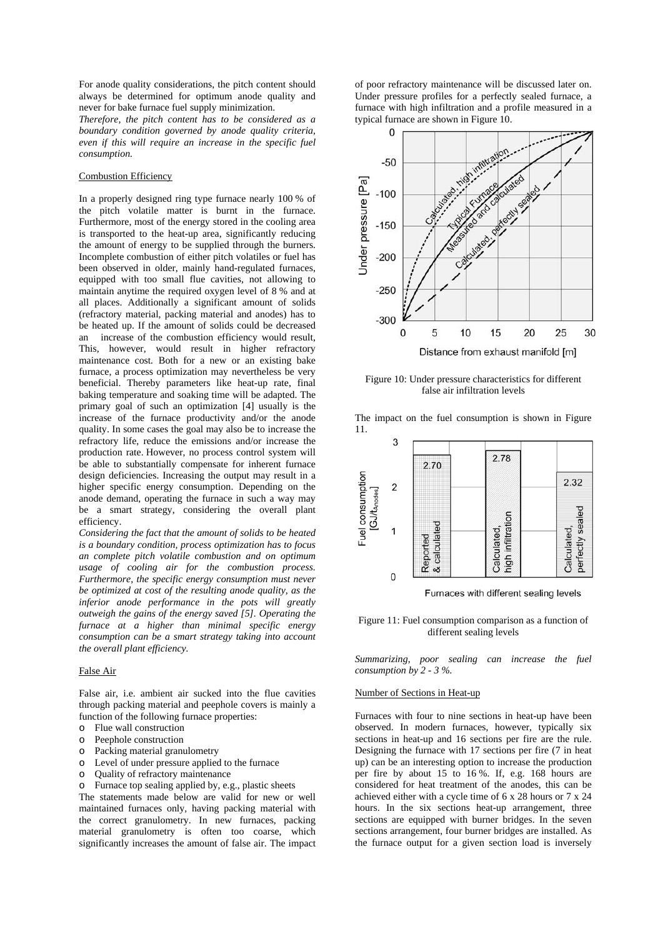For anode quality considerations, the pitch content should always be determined for optimum anode quality and never for bake furnace fuel supply minimization.

*Therefore, the pitch content has to be considered as a boundary condition governed by anode quality criteria, even if this will require an increase in the specific fuel consumption.*

## Combustion Efficiency

In a properly designed ring type furnace nearly 100 % of the pitch volatile matter is burnt in the furnace. Furthermore, most of the energy stored in the cooling area is transported to the heat-up area, significantly reducing the amount of energy to be supplied through the burners. Incomplete combustion of either pitch volatiles or fuel has been observed in older, mainly hand-regulated furnaces, equipped with too small flue cavities, not allowing to maintain anytime the required oxygen level of 8 % and at all places. Additionally a significant amount of solids (refractory material, packing material and anodes) has to be heated up. If the amount of solids could be decreased an increase of the combustion efficiency would result, This, however, would result in higher refractory maintenance cost*.* Both for a new or an existing bake furnace, a process optimization may nevertheless be very beneficial. Thereby parameters like heat-up rate, final baking temperature and soaking time will be adapted. The primary goal of such an optimization [4] usually is the increase of the furnace productivity and/or the anode quality. In some cases the goal may also be to increase the refractory life, reduce the emissions and/or increase the production rate. However, no process control system will be able to substantially compensate for inherent furnace design deficiencies. Increasing the output may result in a higher specific energy consumption. Depending on the anode demand, operating the furnace in such a way may be a smart strategy, considering the overall plant efficiency.

*Considering the fact that the amount of solids to be heated is a boundary condition, process optimization has to focus an complete pitch volatile combustion and on optimum usage of cooling air for the combustion process. Furthermore, the specific energy consumption must never be optimized at cost of the resulting anode quality, as the inferior anode performance in the pots will greatly outweigh the gains of the energy saved [5]. Operating the furnace at a higher than minimal specific energy consumption can be a smart strategy taking into account the overall plant efficiency.* 

#### False Air

False air, i.e. ambient air sucked into the flue cavities through packing material and peephole covers is mainly a function of the following furnace properties:

- o Flue wall construction
- o Peephole construction
- o Packing material granulometry
- o Level of under pressure applied to the furnace
- o Quality of refractory maintenance

Furnace top sealing applied by, e.g., plastic sheets

The statements made below are valid for new or well maintained furnaces only, having packing material with the correct granulometry. In new furnaces, packing material granulometry is often too coarse, which significantly increases the amount of false air. The impact of poor refractory maintenance will be discussed later on. Under pressure profiles for a perfectly sealed furnace, a furnace with high infiltration and a profile measured in a typical furnace are shown in Figure 10.



Figure 10: Under pressure characteristics for different false air infiltration levels

The impact on the fuel consumption is shown in Figure 11.



Furnaces with different sealing levels

Figure 11: Fuel consumption comparison as a function of different sealing levels

*Summarizing, poor sealing can increase the fuel consumption by 2 - 3 %.* 

## Number of Sections in Heat-up

Furnaces with four to nine sections in heat-up have been observed. In modern furnaces, however, typically six sections in heat-up and 16 sections per fire are the rule. Designing the furnace with 17 sections per fire (7 in heat up) can be an interesting option to increase the production per fire by about 15 to 16 %. If, e.g. 168 hours are considered for heat treatment of the anodes, this can be achieved either with a cycle time of 6 x 28 hours or 7 x 24 hours. In the six sections heat-up arrangement, three sections are equipped with burner bridges. In the seven sections arrangement, four burner bridges are installed. As the furnace output for a given section load is inversely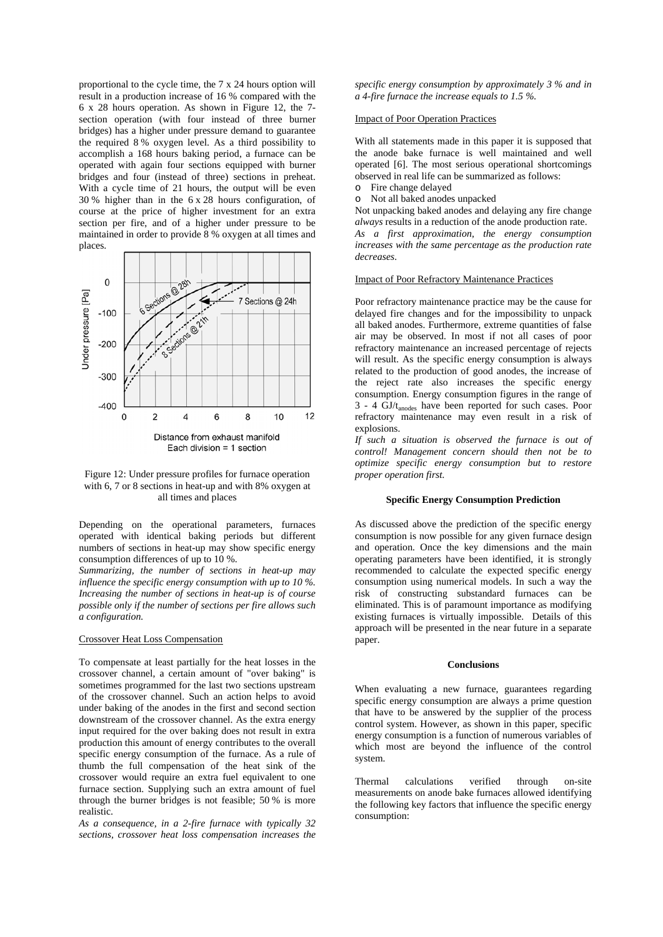proportional to the cycle time, the 7 x 24 hours option will result in a production increase of 16 % compared with the 6 x 28 hours operation. As shown in Figure 12, the 7 section operation (with four instead of three burner bridges) has a higher under pressure demand to guarantee the required 8 % oxygen level. As a third possibility to accomplish a 168 hours baking period, a furnace can be operated with again four sections equipped with burner bridges and four (instead of three) sections in preheat. With a cycle time of 21 hours, the output will be even 30 % higher than in the 6 x 28 hours configuration, of course at the price of higher investment for an extra section per fire, and of a higher under pressure to be maintained in order to provide 8 % oxygen at all times and places.



Figure 12: Under pressure profiles for furnace operation with 6, 7 or 8 sections in heat-up and with 8% oxygen at all times and places

Depending on the operational parameters, furnaces operated with identical baking periods but different numbers of sections in heat-up may show specific energy consumption differences of up to 10 %.

*Summarizing, the number of sections in heat-up may influence the specific energy consumption with up to 10 %. Increasing the number of sections in heat-up is of course possible only if the number of sections per fire allows such a configuration.* 

#### Crossover Heat Loss Compensation

To compensate at least partially for the heat losses in the crossover channel, a certain amount of "over baking" is sometimes programmed for the last two sections upstream of the crossover channel. Such an action helps to avoid under baking of the anodes in the first and second section downstream of the crossover channel. As the extra energy input required for the over baking does not result in extra production this amount of energy contributes to the overall specific energy consumption of the furnace. As a rule of thumb the full compensation of the heat sink of the crossover would require an extra fuel equivalent to one furnace section. Supplying such an extra amount of fuel through the burner bridges is not feasible; 50 % is more realistic.

*As a consequence, in a 2-fire furnace with typically 32 sections, crossover heat loss compensation increases the*  *specific energy consumption by approximately 3 % and in a 4-fire furnace the increase equals to 1.5 %.* 

## Impact of Poor Operation Practices

With all statements made in this paper it is supposed that the anode bake furnace is well maintained and well operated [6]. The most serious operational shortcomings observed in real life can be summarized as follows:

- o Fire change delayed
- Not all baked anodes unpacked

Not unpacking baked anodes and delaying any fire change *always* results in a reduction of the anode production rate. *As a first approximation, the energy consumption increases with the same percentage as the production rate decreases*.

## Impact of Poor Refractory Maintenance Practices

Poor refractory maintenance practice may be the cause for delayed fire changes and for the impossibility to unpack all baked anodes. Furthermore, extreme quantities of false air may be observed. In most if not all cases of poor refractory maintenance an increased percentage of rejects will result. As the specific energy consumption is always related to the production of good anodes, the increase of the reject rate also increases the specific energy consumption. Energy consumption figures in the range of 3 - 4 GJ/tanodes have been reported for such cases. Poor refractory maintenance may even result in a risk of explosions.

*If such a situation is observed the furnace is out of control! Management concern should then not be to optimize specific energy consumption but to restore proper operation first.* 

## **Specific Energy Consumption Prediction**

As discussed above the prediction of the specific energy consumption is now possible for any given furnace design and operation. Once the key dimensions and the main operating parameters have been identified, it is strongly recommended to calculate the expected specific energy consumption using numerical models. In such a way the risk of constructing substandard furnaces can be eliminated. This is of paramount importance as modifying existing furnaces is virtually impossible. Details of this approach will be presented in the near future in a separate paper.

#### **Conclusions**

When evaluating a new furnace, guarantees regarding specific energy consumption are always a prime question that have to be answered by the supplier of the process control system. However, as shown in this paper, specific energy consumption is a function of numerous variables of which most are beyond the influence of the control system.

Thermal calculations verified through on-site measurements on anode bake furnaces allowed identifying the following key factors that influence the specific energy consumption: